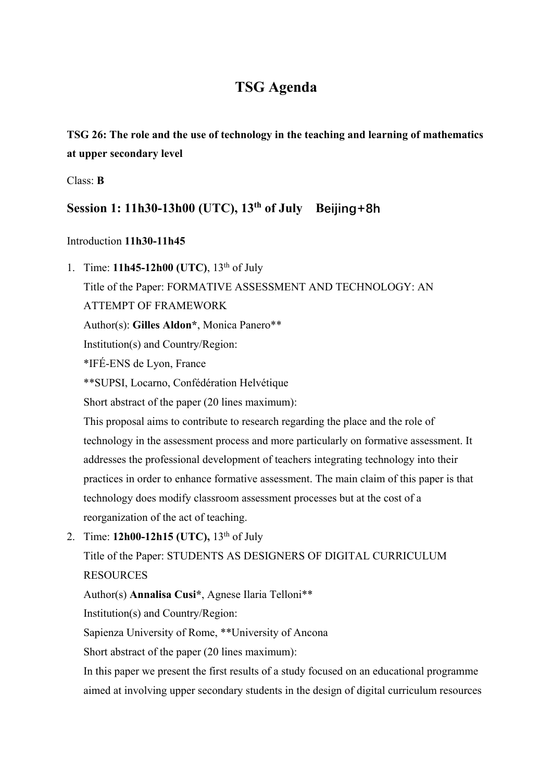# **TSG Agenda**

**TSG 26: The role and the use of technology in the teaching and learning of mathematics at upper secondary level** 

Class: **B** 

## **Session 1: 11h30-13h00 (UTC), 13th of July Beijing+8h**

#### Introduction **11h30-11h45**

1. Time: **11h45-12h00 (UTC)**, 13th of July Title of the Paper: FORMATIVE ASSESSMENT AND TECHNOLOGY: AN ATTEMPT OF FRAMEWORK Author(s): **Gilles Aldon\***, Monica Panero\*\* Institution(s) and Country/Region: \*IFÉ-ENS de Lyon, France \*\*SUPSI, Locarno, Confédération Helvétique Short abstract of the paper (20 lines maximum): This proposal aims to contribute to research regarding the place and the role of technology in the assessment process and more particularly on formative assessment. It addresses the professional development of teachers integrating technology into their practices in order to enhance formative assessment. The main claim of this paper is that technology does modify classroom assessment processes but at the cost of a reorganization of the act of teaching. 2. Time: **12h00-12h15 (UTC)**, 13<sup>th</sup> of July Title of the Paper: STUDENTS AS DESIGNERS OF DIGITAL CURRICULUM **RESOURCES** Author(s) **Annalisa Cusi\***, Agnese Ilaria Telloni\*\* Institution(s) and Country/Region: Sapienza University of Rome, \*\*University of Ancona

Short abstract of the paper (20 lines maximum):

In this paper we present the first results of a study focused on an educational programme aimed at involving upper secondary students in the design of digital curriculum resources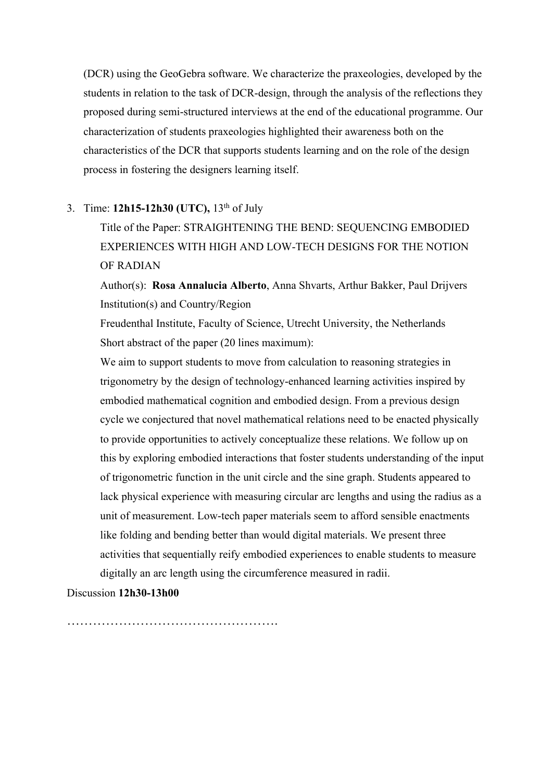(DCR) using the GeoGebra software. We characterize the praxeologies, developed by the students in relation to the task of DCR-design, through the analysis of the reflections they proposed during semi-structured interviews at the end of the educational programme. Our characterization of students praxeologies highlighted their awareness both on the characteristics of the DCR that supports students learning and on the role of the design process in fostering the designers learning itself.

### 3. Time: **12h15-12h30 (UTC),** 13th of July

Title of the Paper: STRAIGHTENING THE BEND: SEQUENCING EMBODIED EXPERIENCES WITH HIGH AND LOW-TECH DESIGNS FOR THE NOTION OF RADIAN

Author(s): **Rosa Annalucia Alberto**, Anna Shvarts, Arthur Bakker, Paul Drijvers Institution(s) and Country/Region

Freudenthal Institute, Faculty of Science, Utrecht University, the Netherlands Short abstract of the paper (20 lines maximum):

We aim to support students to move from calculation to reasoning strategies in trigonometry by the design of technology-enhanced learning activities inspired by embodied mathematical cognition and embodied design. From a previous design cycle we conjectured that novel mathematical relations need to be enacted physically to provide opportunities to actively conceptualize these relations. We follow up on this by exploring embodied interactions that foster students understanding of the input of trigonometric function in the unit circle and the sine graph. Students appeared to lack physical experience with measuring circular arc lengths and using the radius as a unit of measurement. Low-tech paper materials seem to afford sensible enactments like folding and bending better than would digital materials. We present three activities that sequentially reify embodied experiences to enable students to measure digitally an arc length using the circumference measured in radii.

#### Discussion **12h30-13h00**

………………………………………….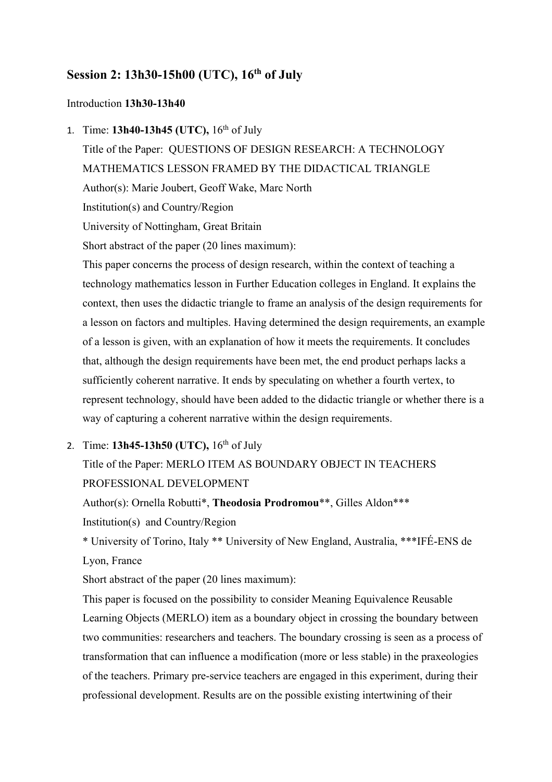## **Session 2: 13h30-15h00 (UTC), 16<sup>th</sup> of July**

#### Introduction **13h30-13h40**

1. Time: **13h40-13h45 (UTC),** 16th of July

Title of the Paper: QUESTIONS OF DESIGN RESEARCH: A TECHNOLOGY MATHEMATICS LESSON FRAMED BY THE DIDACTICAL TRIANGLE Author(s): Marie Joubert, Geoff Wake, Marc North Institution(s) and Country/Region University of Nottingham, Great Britain Short abstract of the paper (20 lines maximum): This paper concerns the process of design research, within the context of teaching a

technology mathematics lesson in Further Education colleges in England. It explains the context, then uses the didactic triangle to frame an analysis of the design requirements for a lesson on factors and multiples. Having determined the design requirements, an example of a lesson is given, with an explanation of how it meets the requirements. It concludes that, although the design requirements have been met, the end product perhaps lacks a sufficiently coherent narrative. It ends by speculating on whether a fourth vertex, to represent technology, should have been added to the didactic triangle or whether there is a way of capturing a coherent narrative within the design requirements.

2. Time: **13h45-13h50 (UTC),** 16th of July

# Title of the Paper: MERLO ITEM AS BOUNDARY OBJECT IN TEACHERS PROFESSIONAL DEVELOPMENT

Author(s): Ornella Robutti\*, **Theodosia Prodromou**\*\*, Gilles Aldon\*\*\*

Institution(s) and Country/Region

\* University of Torino, Italy \*\* University of New England, Australia, \*\*\*IFÉ-ENS de Lyon, France

Short abstract of the paper (20 lines maximum):

This paper is focused on the possibility to consider Meaning Equivalence Reusable Learning Objects (MERLO) item as a boundary object in crossing the boundary between two communities: researchers and teachers. The boundary crossing is seen as a process of transformation that can influence a modification (more or less stable) in the praxeologies of the teachers. Primary pre-service teachers are engaged in this experiment, during their professional development. Results are on the possible existing intertwining of their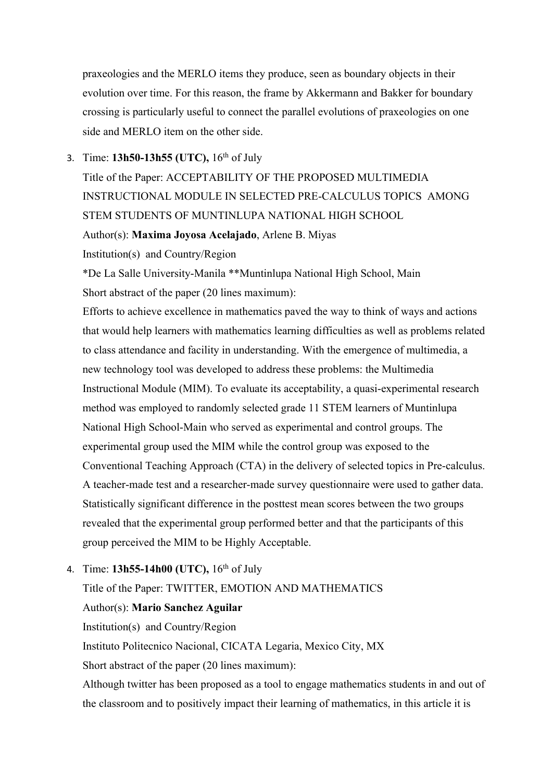praxeologies and the MERLO items they produce, seen as boundary objects in their evolution over time. For this reason, the frame by Akkermann and Bakker for boundary crossing is particularly useful to connect the parallel evolutions of praxeologies on one side and MERLO item on the other side.

### 3. Time: **13h50-13h55 (UTC),** 16th of July

Title of the Paper: ACCEPTABILITY OF THE PROPOSED MULTIMEDIA INSTRUCTIONAL MODULE IN SELECTED PRE-CALCULUS TOPICS AMONG STEM STUDENTS OF MUNTINLUPA NATIONAL HIGH SCHOOL

Author(s): **Maxima Joyosa Acelajado**, Arlene B. Miyas

Institution(s) and Country/Region

\*De La Salle University-Manila \*\*Muntinlupa National High School, Main Short abstract of the paper (20 lines maximum):

Efforts to achieve excellence in mathematics paved the way to think of ways and actions that would help learners with mathematics learning difficulties as well as problems related to class attendance and facility in understanding. With the emergence of multimedia, a new technology tool was developed to address these problems: the Multimedia Instructional Module (MIM). To evaluate its acceptability, a quasi-experimental research method was employed to randomly selected grade 11 STEM learners of Muntinlupa National High School-Main who served as experimental and control groups. The experimental group used the MIM while the control group was exposed to the Conventional Teaching Approach (CTA) in the delivery of selected topics in Pre-calculus. A teacher-made test and a researcher-made survey questionnaire were used to gather data. Statistically significant difference in the posttest mean scores between the two groups revealed that the experimental group performed better and that the participants of this group perceived the MIM to be Highly Acceptable.

## 4. Time: **13h55-14h00 (UTC),** 16th of July

## Title of the Paper: TWITTER, EMOTION AND MATHEMATICS

Author(s): **Mario Sanchez Aguilar**

Institution(s) and Country/Region

Instituto Politecnico Nacional, CICATA Legaria, Mexico City, MX

Short abstract of the paper (20 lines maximum):

Although twitter has been proposed as a tool to engage mathematics students in and out of the classroom and to positively impact their learning of mathematics, in this article it is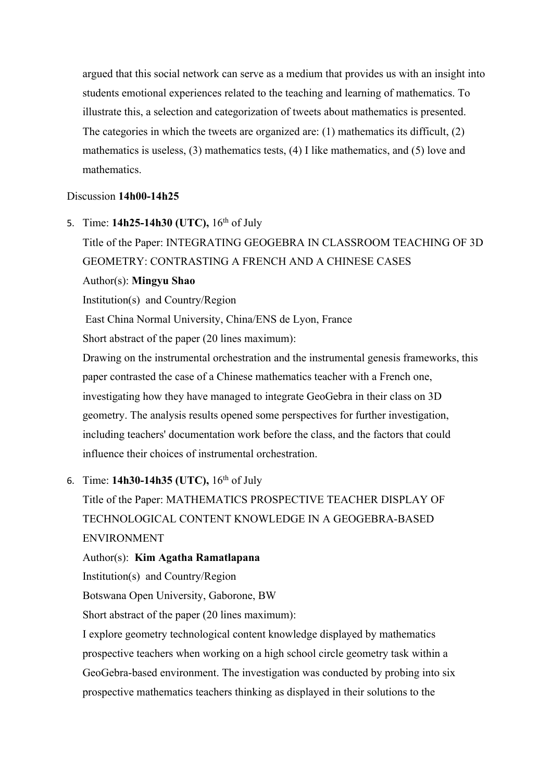argued that this social network can serve as a medium that provides us with an insight into students emotional experiences related to the teaching and learning of mathematics. To illustrate this, a selection and categorization of tweets about mathematics is presented. The categories in which the tweets are organized are: (1) mathematics its difficult, (2) mathematics is useless,  $(3)$  mathematics tests,  $(4)$  I like mathematics, and  $(5)$  love and mathematics.

#### Discussion **14h00-14h25**

5. Time: **14h25-14h30 (UTC),** 16th of July Title of the Paper: INTEGRATING GEOGEBRA IN CLASSROOM TEACHING OF 3D

GEOMETRY: CONTRASTING A FRENCH AND A CHINESE CASES

#### Author(s): **Mingyu Shao**

Institution(s) and Country/Region

East China Normal University, China/ENS de Lyon, France

Short abstract of the paper (20 lines maximum):

Drawing on the instrumental orchestration and the instrumental genesis frameworks, this paper contrasted the case of a Chinese mathematics teacher with a French one, investigating how they have managed to integrate GeoGebra in their class on 3D geometry. The analysis results opened some perspectives for further investigation, including teachers' documentation work before the class, and the factors that could influence their choices of instrumental orchestration.

#### 6. Time: **14h30-14h35 (UTC),** 16th of July

Title of the Paper: MATHEMATICS PROSPECTIVE TEACHER DISPLAY OF TECHNOLOGICAL CONTENT KNOWLEDGE IN A GEOGEBRA-BASED ENVIRONMENT

#### Author(s): **Kim Agatha Ramatlapana**

Institution(s) and Country/Region

Botswana Open University, Gaborone, BW

Short abstract of the paper (20 lines maximum):

I explore geometry technological content knowledge displayed by mathematics prospective teachers when working on a high school circle geometry task within a GeoGebra-based environment. The investigation was conducted by probing into six prospective mathematics teachers thinking as displayed in their solutions to the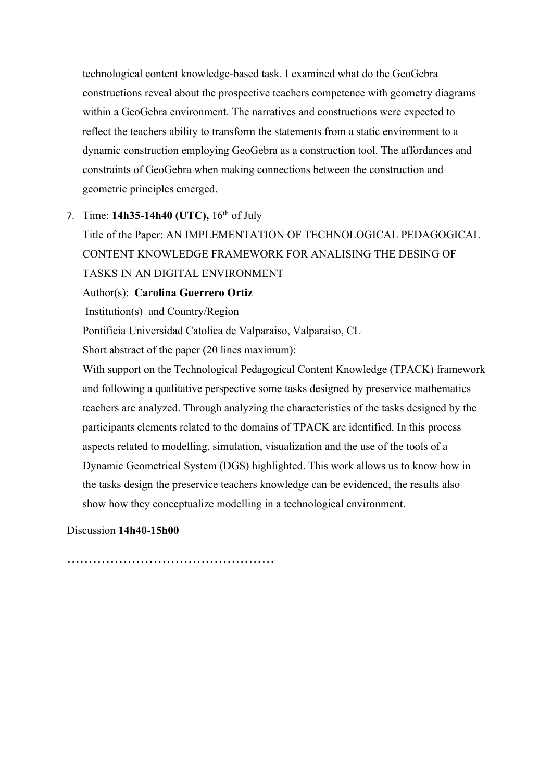technological content knowledge-based task. I examined what do the GeoGebra constructions reveal about the prospective teachers competence with geometry diagrams within a GeoGebra environment. The narratives and constructions were expected to reflect the teachers ability to transform the statements from a static environment to a dynamic construction employing GeoGebra as a construction tool. The affordances and constraints of GeoGebra when making connections between the construction and geometric principles emerged.

#### 7. Time: **14h35-14h40 (UTC),** 16th of July

Title of the Paper: AN IMPLEMENTATION OF TECHNOLOGICAL PEDAGOGICAL CONTENT KNOWLEDGE FRAMEWORK FOR ANALISING THE DESING OF TASKS IN AN DIGITAL ENVIRONMENT

Author(s): **Carolina Guerrero Ortiz** 

Institution(s) and Country/Region

Pontificia Universidad Catolica de Valparaiso, Valparaiso, CL

Short abstract of the paper (20 lines maximum):

With support on the Technological Pedagogical Content Knowledge (TPACK) framework and following a qualitative perspective some tasks designed by preservice mathematics teachers are analyzed. Through analyzing the characteristics of the tasks designed by the participants elements related to the domains of TPACK are identified. In this process aspects related to modelling, simulation, visualization and the use of the tools of a Dynamic Geometrical System (DGS) highlighted. This work allows us to know how in the tasks design the preservice teachers knowledge can be evidenced, the results also show how they conceptualize modelling in a technological environment.

Discussion **14h40-15h00**

…………………………………………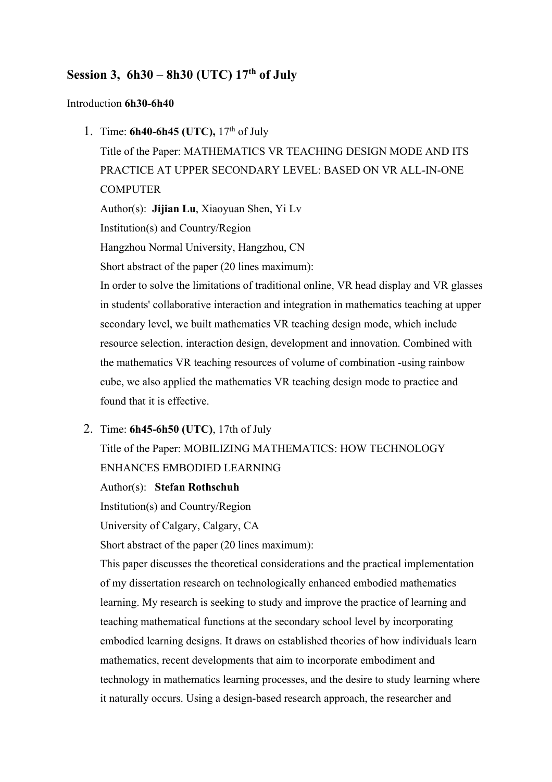## **Session 3, 6h30 – 8h30 (UTC) 17th of July**

#### Introduction **6h30-6h40**

1. Time: **6h40-6h45 (UTC),** 17th of July

Title of the Paper: MATHEMATICS VR TEACHING DESIGN MODE AND ITS PRACTICE AT UPPER SECONDARY LEVEL: BASED ON VR ALL-IN-ONE **COMPUTER** 

Author(s): **Jijian Lu**, Xiaoyuan Shen, Yi Lv

Institution(s) and Country/Region

Hangzhou Normal University, Hangzhou, CN

Short abstract of the paper (20 lines maximum):

In order to solve the limitations of traditional online, VR head display and VR glasses in students' collaborative interaction and integration in mathematics teaching at upper secondary level, we built mathematics VR teaching design mode, which include resource selection, interaction design, development and innovation. Combined with the mathematics VR teaching resources of volume of combination -using rainbow cube, we also applied the mathematics VR teaching design mode to practice and found that it is effective.

#### 2. Time: **6h45-6h50 (UTC)**, 17th of July

Title of the Paper: MOBILIZING MATHEMATICS: HOW TECHNOLOGY ENHANCES EMBODIED LEARNING

#### Author(s): **Stefan Rothschuh**

Institution(s) and Country/Region

University of Calgary, Calgary, CA

Short abstract of the paper (20 lines maximum):

This paper discusses the theoretical considerations and the practical implementation of my dissertation research on technologically enhanced embodied mathematics learning. My research is seeking to study and improve the practice of learning and teaching mathematical functions at the secondary school level by incorporating embodied learning designs. It draws on established theories of how individuals learn mathematics, recent developments that aim to incorporate embodiment and technology in mathematics learning processes, and the desire to study learning where it naturally occurs. Using a design-based research approach, the researcher and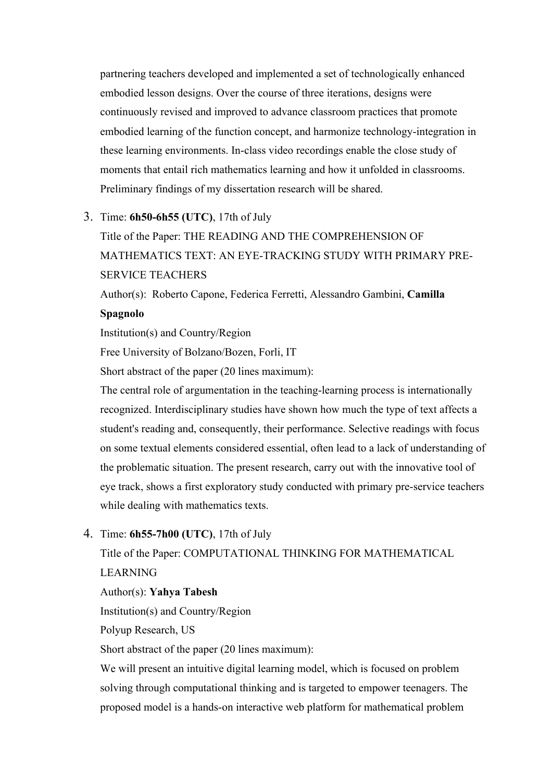partnering teachers developed and implemented a set of technologically enhanced embodied lesson designs. Over the course of three iterations, designs were continuously revised and improved to advance classroom practices that promote embodied learning of the function concept, and harmonize technology-integration in these learning environments. In-class video recordings enable the close study of moments that entail rich mathematics learning and how it unfolded in classrooms. Preliminary findings of my dissertation research will be shared.

#### 3. Time: **6h50-6h55 (UTC)**, 17th of July

Title of the Paper: THE READING AND THE COMPREHENSION OF MATHEMATICS TEXT: AN EYE-TRACKING STUDY WITH PRIMARY PRE-SERVICE TEACHERS

Author(s): Roberto Capone, Federica Ferretti, Alessandro Gambini, **Camilla Spagnolo**

Institution(s) and Country/Region

Free University of Bolzano/Bozen, Forli, IT

Short abstract of the paper (20 lines maximum):

The central role of argumentation in the teaching-learning process is internationally recognized. Interdisciplinary studies have shown how much the type of text affects a student's reading and, consequently, their performance. Selective readings with focus on some textual elements considered essential, often lead to a lack of understanding of the problematic situation. The present research, carry out with the innovative tool of eye track, shows a first exploratory study conducted with primary pre-service teachers while dealing with mathematics texts.

#### 4. Time: **6h55-7h00 (UTC)**, 17th of July

Title of the Paper: COMPUTATIONAL THINKING FOR MATHEMATICAL LEARNING

Author(s): **Yahya Tabesh**

Institution(s) and Country/Region

Polyup Research, US

Short abstract of the paper (20 lines maximum):

We will present an intuitive digital learning model, which is focused on problem solving through computational thinking and is targeted to empower teenagers. The proposed model is a hands-on interactive web platform for mathematical problem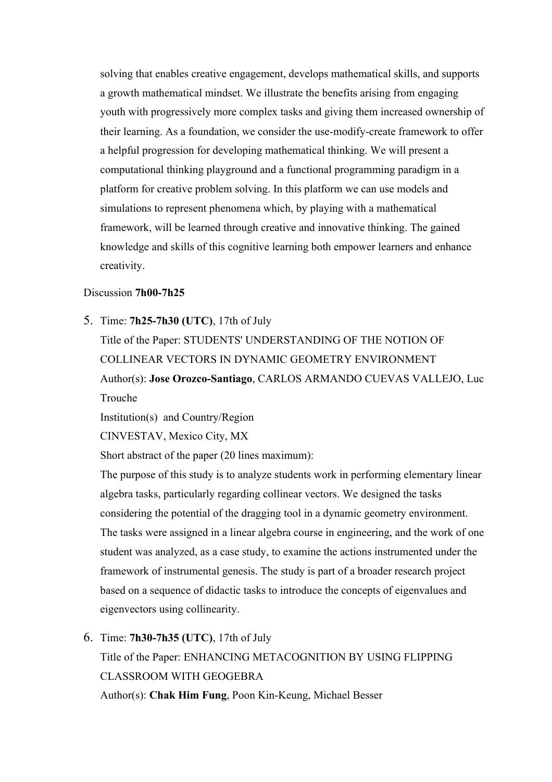solving that enables creative engagement, develops mathematical skills, and supports a growth mathematical mindset. We illustrate the benefits arising from engaging youth with progressively more complex tasks and giving them increased ownership of their learning. As a foundation, we consider the use-modify-create framework to offer a helpful progression for developing mathematical thinking. We will present a computational thinking playground and a functional programming paradigm in a platform for creative problem solving. In this platform we can use models and simulations to represent phenomena which, by playing with a mathematical framework, will be learned through creative and innovative thinking. The gained knowledge and skills of this cognitive learning both empower learners and enhance creativity.

#### Discussion **7h00-7h25**

5. Time: **7h25-7h30 (UTC)**, 17th of July

Title of the Paper: STUDENTS' UNDERSTANDING OF THE NOTION OF COLLINEAR VECTORS IN DYNAMIC GEOMETRY ENVIRONMENT Author(s): **Jose Orozco-Santiago**, CARLOS ARMANDO CUEVAS VALLEJO, Luc Trouche

Institution(s) and Country/Region

CINVESTAV, Mexico City, MX

Short abstract of the paper (20 lines maximum):

The purpose of this study is to analyze students work in performing elementary linear algebra tasks, particularly regarding collinear vectors. We designed the tasks considering the potential of the dragging tool in a dynamic geometry environment. The tasks were assigned in a linear algebra course in engineering, and the work of one student was analyzed, as a case study, to examine the actions instrumented under the framework of instrumental genesis. The study is part of a broader research project based on a sequence of didactic tasks to introduce the concepts of eigenvalues and eigenvectors using collinearity.

6. Time: **7h30-7h35 (UTC)**, 17th of July

Title of the Paper: ENHANCING METACOGNITION BY USING FLIPPING CLASSROOM WITH GEOGEBRA

Author(s): **Chak Him Fung**, Poon Kin-Keung, Michael Besser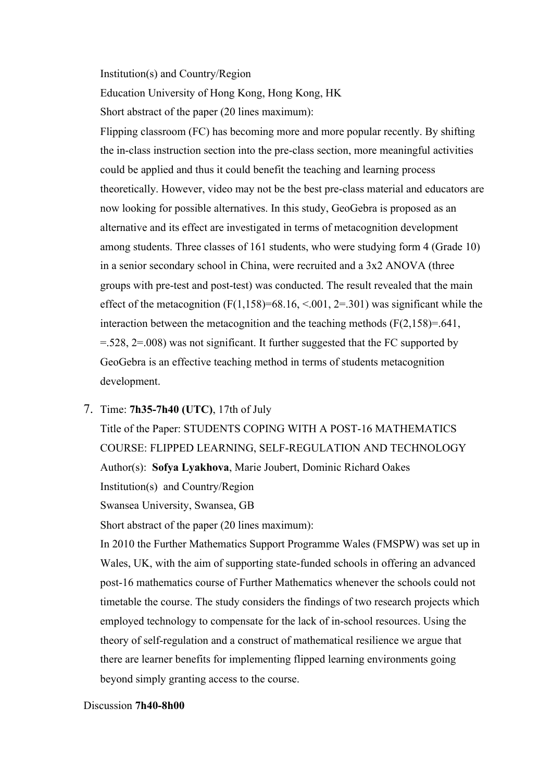Institution(s) and Country/Region

Education University of Hong Kong, Hong Kong, HK

Short abstract of the paper (20 lines maximum):

Flipping classroom (FC) has becoming more and more popular recently. By shifting the in-class instruction section into the pre-class section, more meaningful activities could be applied and thus it could benefit the teaching and learning process theoretically. However, video may not be the best pre-class material and educators are now looking for possible alternatives. In this study, GeoGebra is proposed as an alternative and its effect are investigated in terms of metacognition development among students. Three classes of 161 students, who were studying form 4 (Grade 10) in a senior secondary school in China, were recruited and a 3x2 ANOVA (three groups with pre-test and post-test) was conducted. The result revealed that the main effect of the metacognition  $(F(1,158)=68.16, <0.01, 2=.301)$  was significant while the interaction between the metacognition and the teaching methods  $(F(2, 158)=0.641)$ , =.528, 2=.008) was not significant. It further suggested that the FC supported by GeoGebra is an effective teaching method in terms of students metacognition development.

#### 7. Time: **7h35-7h40 (UTC)**, 17th of July

Title of the Paper: STUDENTS COPING WITH A POST-16 MATHEMATICS COURSE: FLIPPED LEARNING, SELF-REGULATION AND TECHNOLOGY Author(s): **Sofya Lyakhova**, Marie Joubert, Dominic Richard Oakes Institution(s) and Country/Region Swansea University, Swansea, GB

Short abstract of the paper (20 lines maximum):

In 2010 the Further Mathematics Support Programme Wales (FMSPW) was set up in Wales, UK, with the aim of supporting state-funded schools in offering an advanced post-16 mathematics course of Further Mathematics whenever the schools could not timetable the course. The study considers the findings of two research projects which employed technology to compensate for the lack of in-school resources. Using the theory of self-regulation and a construct of mathematical resilience we argue that there are learner benefits for implementing flipped learning environments going beyond simply granting access to the course.

#### Discussion **7h40-8h00**